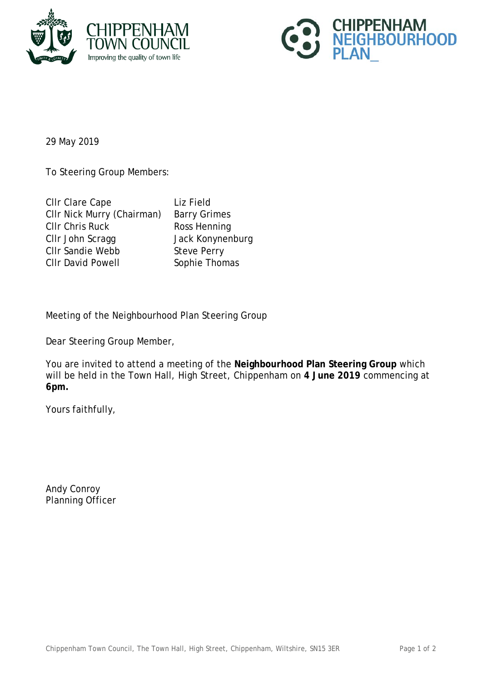



29 May 2019

To Steering Group Members:

| CIIr Clare Cape            | Liz Field       |
|----------------------------|-----------------|
| CIIr Nick Murry (Chairman) | Barry Gr        |
| <b>CIIr Chris Ruck</b>     | <b>Ross Her</b> |
| CIIr John Scragg           | Jack Kor        |
| <b>CIIr Sandie Webb</b>    | Steve Pe        |
| <b>CIIr David Powell</b>   | Sophie T        |
|                            |                 |

Ty Grimes S Henning k Konynenburg ve Perry hie Thomas

Meeting of the Neighbourhood Plan Steering Group

Dear Steering Group Member,

You are invited to attend a meeting of the **Neighbourhood Plan Steering Group** which will be held in the Town Hall, High Street, Chippenham on **4 June 2019** commencing at **6pm.**

Yours faithfully,

Andy Conroy Planning Officer